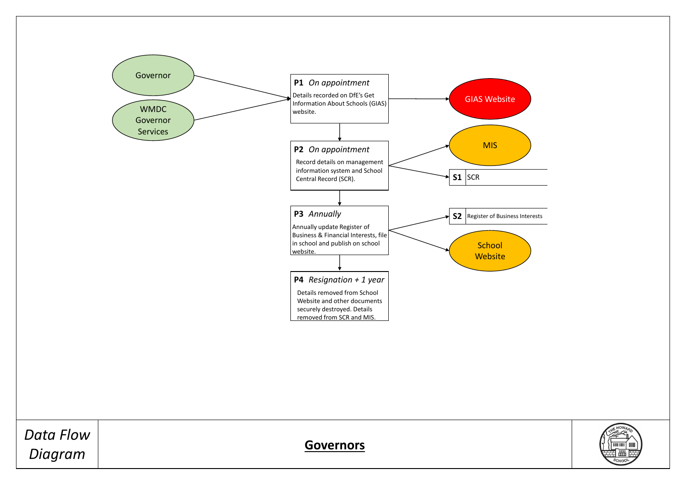*Data Flow Diagram* **Governors**





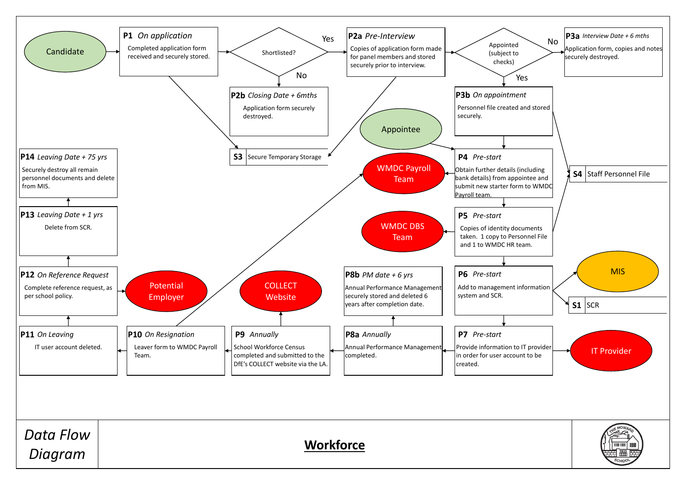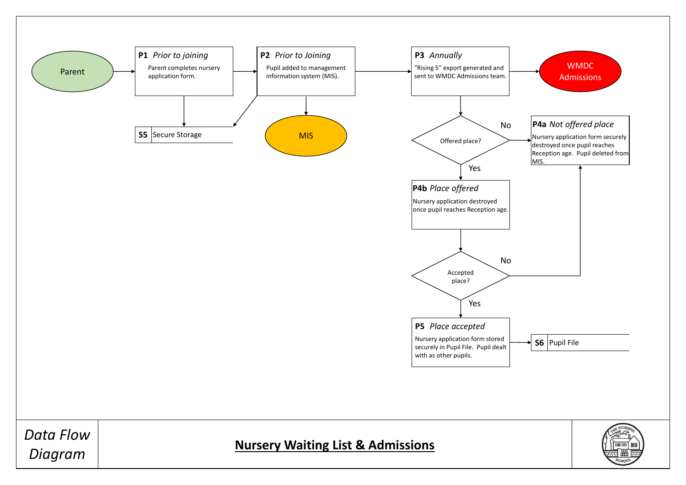